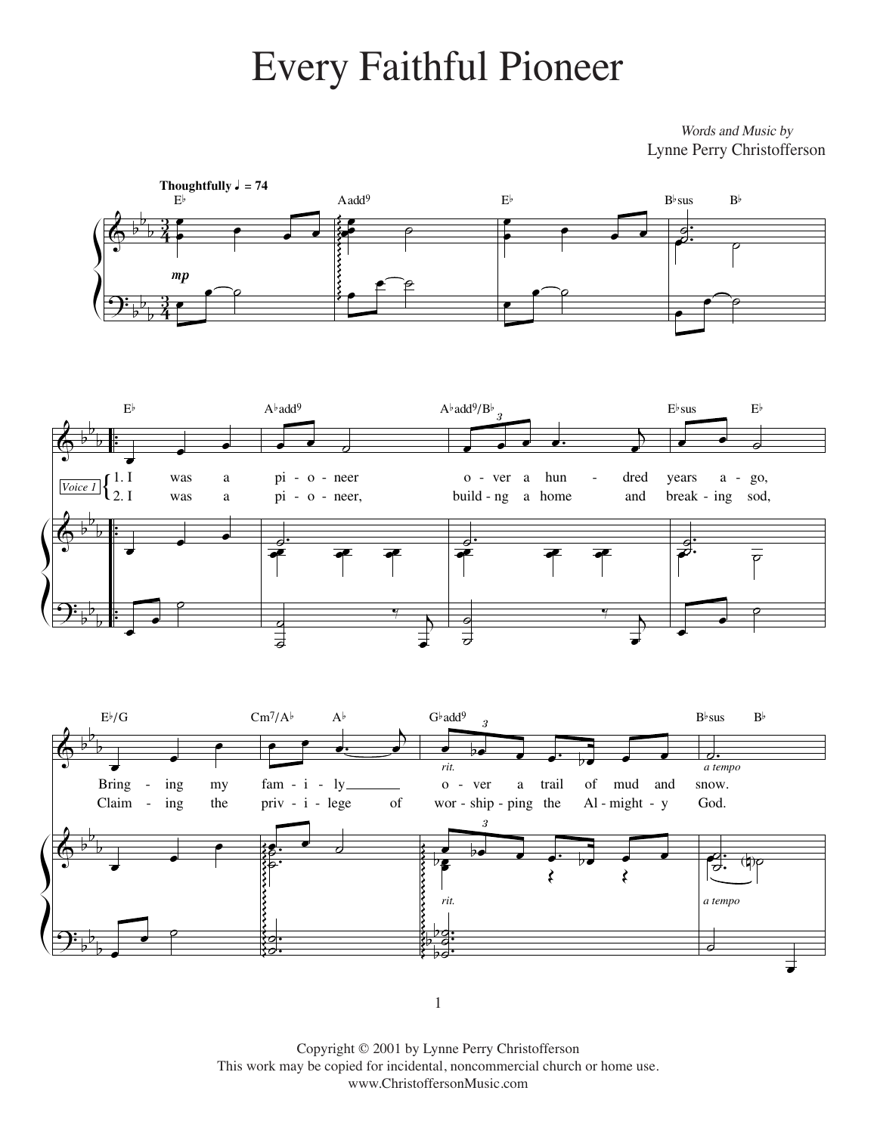## Every Faithful Pioneer Every Faithful Pioneer

Lynne Perry Christofferson Words and Music by

Lynne Perry Christofferson







 $\overline{1}$ 

This work may be copied for incidental, noncommercial church or home use. www.ChristoffersonMusic.com Copyright © 2001 by Lynne Perry Christofferson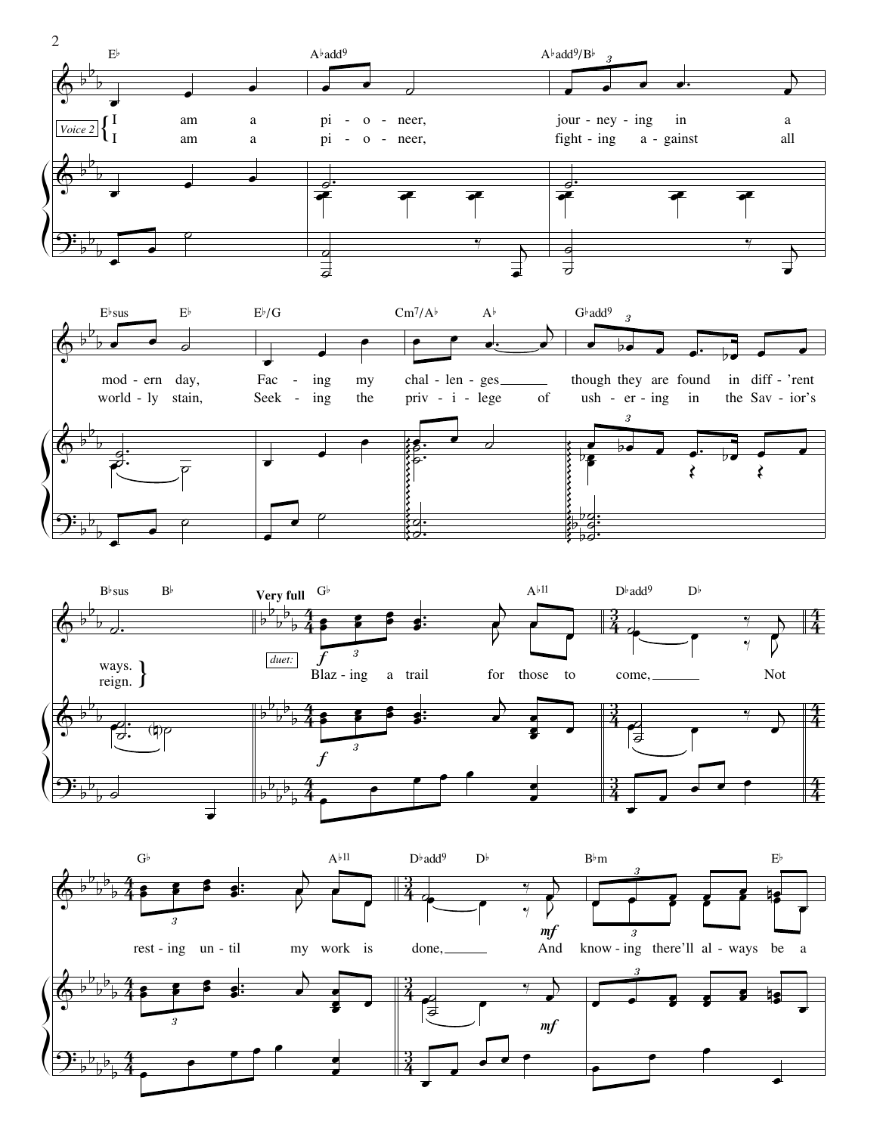